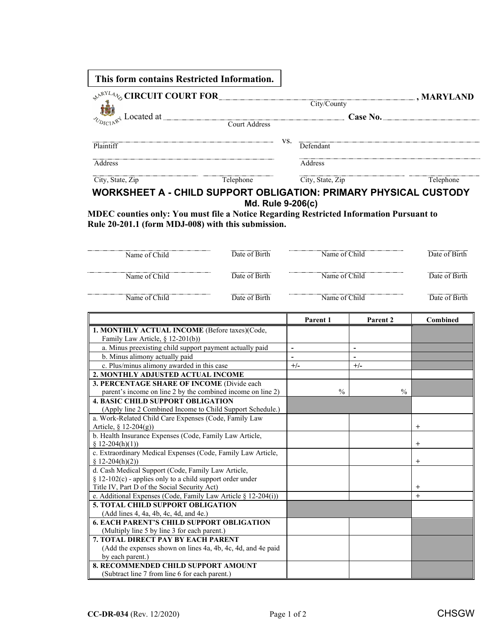| This form contains Restricted Information.                                                                                               |                   |     |                  |                               |
|------------------------------------------------------------------------------------------------------------------------------------------|-------------------|-----|------------------|-------------------------------|
| <b>AARYLAID CIRCUIT COURT FOR</b><br>$\frac{1}{\sqrt[n]{\frac{1}{2} \sum_{U \in \mathbb{N} \setminus \mathbb{N}^+} \lambda}}$ Located at | Court Address     |     | City/County      | $\Box$ , MARYLAND<br>Case No. |
| Plaintiff                                                                                                                                |                   | VS. | Defendant        |                               |
| Address                                                                                                                                  |                   |     | Address          |                               |
| City, State, Zip                                                                                                                         | Telephone         |     | City, State, Zip | Telephone                     |
| <b>WORKSHEET A - CHILD SUPPORT OBLIGATION: PRIMARY PHYSICAL CUSTODY</b>                                                                  | Md. Rule 9-206(c) |     |                  |                               |

**MDEC counties only: You must file a Notice Regarding Restricted Information Pursuant to Rule 20-201.1 (form MDJ-008) with this submission.**

| Name of Child                                                                                                                                                  | Date of Birth                            | Name of Child  |               |                          |               | Date of Birth   |
|----------------------------------------------------------------------------------------------------------------------------------------------------------------|------------------------------------------|----------------|---------------|--------------------------|---------------|-----------------|
| Name of Child                                                                                                                                                  | Date of Birth                            | Name of Child  |               |                          |               | Date of Birth   |
| Name of Child                                                                                                                                                  | Date of Birth                            | Name of Child  |               |                          |               | Date of Birth   |
|                                                                                                                                                                |                                          |                | Parent 1      | Parent <sub>2</sub>      |               | <b>Combined</b> |
| 1. MONTHLY ACTUAL INCOME (Before taxes)(Code,<br>Family Law Article, § 12-201(b))                                                                              |                                          |                |               |                          |               |                 |
| a. Minus preexisting child support payment actually paid                                                                                                       |                                          | $\overline{a}$ |               | $\overline{\phantom{a}}$ |               |                 |
| b. Minus alimony actually paid                                                                                                                                 |                                          |                |               |                          |               |                 |
| c. Plus/minus alimony awarded in this case                                                                                                                     |                                          | $+/-$          |               | $+/-$                    |               |                 |
| 2. MONTHLY ADJUSTED ACTUAL INCOME                                                                                                                              |                                          |                |               |                          |               |                 |
| 3. PERCENTAGE SHARE OF INCOME (Divide each                                                                                                                     |                                          |                |               |                          |               |                 |
| parent's income on line 2 by the combined income on line 2)                                                                                                    |                                          |                | $\frac{0}{0}$ |                          | $\frac{0}{0}$ |                 |
| <b>4. BASIC CHILD SUPPORT OBLIGATION</b><br>(Apply line 2 Combined Income to Child Support Schedule.)<br>a. Work-Related Child Care Expenses (Code, Family Law |                                          |                |               |                          |               |                 |
| Article, § 12-204(g))                                                                                                                                          |                                          |                |               |                          |               | $^{+}$          |
| b. Health Insurance Expenses (Code, Family Law Article,<br>$$12-204(h)(1))$                                                                                    |                                          |                |               |                          |               | $^{+}$          |
| c. Extraordinary Medical Expenses (Code, Family Law Article,<br>$$12-204(h)(2))$                                                                               |                                          |                |               |                          |               | $^{+}$          |
| d. Cash Medical Support (Code, Family Law Article,<br>§ 12-102(c) - applies only to a child support order under                                                |                                          |                |               |                          |               |                 |
| Title IV, Part D of the Social Security Act)                                                                                                                   |                                          |                |               |                          |               | $^{+}$          |
| e. Additional Expenses (Code, Family Law Article § 12-204(i))                                                                                                  |                                          |                |               |                          |               | $\ddot{}$       |
|                                                                                                                                                                | <b>5. TOTAL CHILD SUPPORT OBLIGATION</b> |                |               |                          |               |                 |
| (Add lines 4, 4a, 4b, 4c, 4d, and 4e.)<br><b>6. EACH PARENT'S CHILD SUPPORT OBLIGATION</b>                                                                     |                                          |                |               |                          |               |                 |
| (Multiply line 5 by line 3 for each parent.)                                                                                                                   |                                          |                |               |                          |               |                 |
| <b>7. TOTAL DIRECT PAY BY EACH PARENT</b>                                                                                                                      |                                          |                |               |                          |               |                 |
| (Add the expenses shown on lines 4a, 4b, 4c, 4d, and 4e paid                                                                                                   |                                          |                |               |                          |               |                 |
| by each parent.)                                                                                                                                               |                                          |                |               |                          |               |                 |
| <b>8. RECOMMENDED CHILD SUPPORT AMOUNT</b>                                                                                                                     |                                          |                |               |                          |               |                 |
| (Subtract line 7 from line 6 for each parent.)                                                                                                                 |                                          |                |               |                          |               |                 |